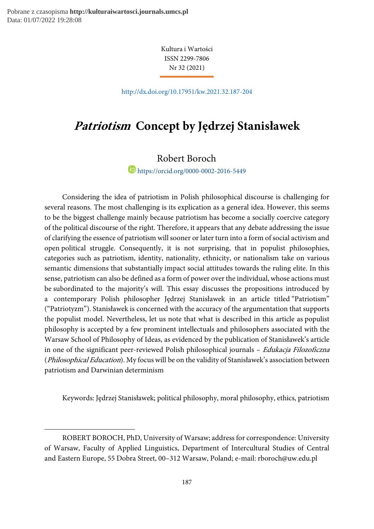-

Kultura i Wartości ISSN 2299-7806 Nr 32 (2021)

http://dx.doi.org/10.17951/kw.2021.32.187-204

# Patriotism Concept by Jędrzej Stanisławek

## Robert Boroch

https://orcid.org/0000-0002-2016-5449

Considering the idea of patriotism in Polish philosophical discourse is challenging for several reasons. The most challenging is its explication as a general idea. However, this seems to be the biggest challenge mainly because patriotism has become a socially coercive category of the political discourse of the right. Therefore, it appears that any debate addressing the issue of clarifying the essence of patriotism will sooner or later turn into a form of social activism and open political struggle. Consequently, it is not surprising, that in populist philosophies, categories such as patriotism, identity, nationality, ethnicity, or nationalism take on various semantic dimensions that substantially impact social attitudes towards the ruling elite. In this sense, patriotism can also be defined as a form of power over the individual, whose actions must be subordinated to the majority's will. This essay discusses the propositions introduced by a contemporary Polish philosopher Jędrzej Stanisławek in an article titled "Patriotism" ("Patriotyzm"). Stanisławek is concerned with the accuracy of the argumentation that supports the populist model. Nevertheless, let us note that what is described in this article as populist philosophy is accepted by a few prominent intellectuals and philosophers associated with the Warsaw School of Philosophy of Ideas, as evidenced by the publication of Stanisławek's article in one of the significant peer-reviewed Polish philosophical journals – Edukacja Filozoficzna (Philosophical Education). My focus will be on the validity of Stanisławek's association between patriotism and Darwinian determinism

Keywords: Jędrzej Stanisławek; political philosophy, moral philosophy, ethics, patriotism

ROBERT BOROCH, PhD, University of Warsaw; address for correspondence: University of Warsaw, Faculty of Applied Linguistics, Department of Intercultural Studies of Central and Eastern Europe, 55 Dobra Street, 00–312 Warsaw, Poland; e-mail: rboroch@uw.edu.pl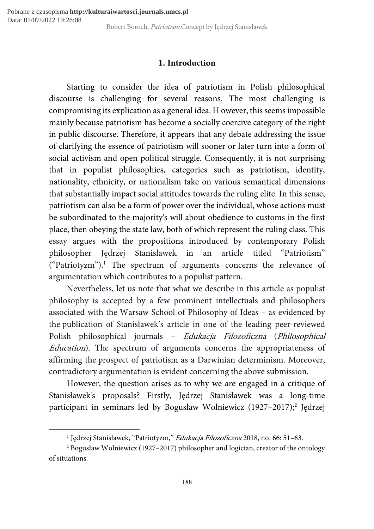## 1. Introduction

Starting to consider the idea of patriotism in Polish philosophical discourse is challenging for several reasons. The most challenging is compromising its explication as a general idea. H owever, this seems impossible mainly because patriotism has become a socially coercive category of the right in public discourse. Therefore, it appears that any debate addressing the issue of clarifying the essence of patriotism will sooner or later turn into a form of social activism and open political struggle. Consequently, it is not surprising that in populist philosophies, categories such as patriotism, identity, nationality, ethnicity, or nationalism take on various semantical dimensions that substantially impact social attitudes towards the ruling elite. In this sense, patriotism can also be a form of power over the individual, whose actions must be subordinated to the majority's will about obedience to customs in the first place, then obeying the state law, both of which represent the ruling class. This essay argues with the propositions introduced by contemporary Polish philosopher Jędrzej Stanisławek in an article titled "Patriotism" ("Patriotyzm").<sup>1</sup> The spectrum of arguments concerns the relevance of argumentation which contributes to a populist pattern.

Nevertheless, let us note that what we describe in this article as populist philosophy is accepted by a few prominent intellectuals and philosophers associated with the Warsaw School of Philosophy of Ideas – as evidenced by the publication of Stanisławek's article in one of the leading peer-reviewed Polish philosophical journals – Edukacja Filozoficzna (Philosophical Education). The spectrum of arguments concerns the appropriateness of affirming the prospect of patriotism as a Darwinian determinism. Moreover, contradictory argumentation is evident concerning the above submission.

However, the question arises as to why we are engaged in a critique of Stanisławek's proposals? Firstly, Jędrzej Stanisławek was a long-time participant in seminars led by Bogusław Wolniewicz (1927–2017);<sup>2</sup> Jędrzej

<sup>&</sup>lt;sup>1</sup> Jędrzej Stanisławek, "Patriotyzm," *Edukacja Filozoficzna* 2018, no. 66: 51–63.

<sup>2</sup> Bogusław Wolniewicz (1927–2017) philosopher and logician, creator of the ontology of situations.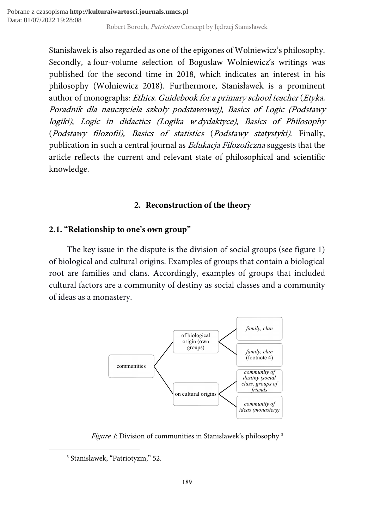Stanisławek is also regarded as one of the epigones of Wolniewicz's philosophy. Secondly, a four-volume selection of Boguslaw Wolniewicz's writings was published for the second time in 2018, which indicates an interest in his philosophy (Wolniewicz 2018). Furthermore, Stanisławek is a prominent author of monographs: Ethics. Guidebook for a primary school teacher (Etyka. Poradnik dla nauczyciela szkoły podstawowej), Basics of Logic (Podstawy logiki), Logic in didactics (Logika w dydaktyce), Basics of Philosophy (Podstawy filozofii), Basics of statistics (Podstawy statystyki). Finally, publication in such a central journal as Edukacja Filozoficzna suggests that the article reflects the current and relevant state of philosophical and scientific knowledge.

## 2. Reconstruction of the theory

## 2.1. "Relationship to one's own group"

The key issue in the dispute is the division of social groups (see figure 1) of biological and cultural origins. Examples of groups that contain a biological root are families and clans. Accordingly, examples of groups that included cultural factors are a community of destiny as social classes and a community of ideas as a monastery.



Figure 1: Division of communities in Stanisławek's philosophy<sup>3</sup>

<sup>3</sup> Stanisławek, "Patriotyzm," 52.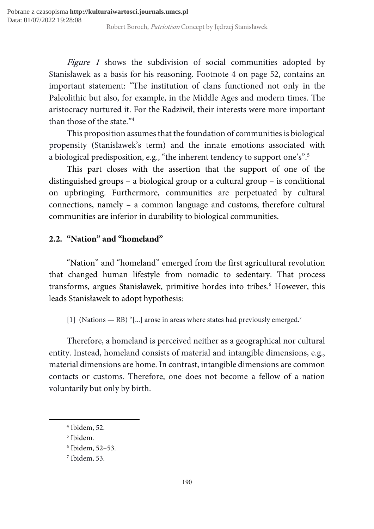Figure 1 shows the subdivision of social communities adopted by Stanisławek as a basis for his reasoning. Footnote 4 on page 52, contains an important statement: "The institution of clans functioned not only in the Paleolithic but also, for example, in the Middle Ages and modern times. The aristocracy nurtured it. For the Radziwił, their interests were more important than those of the state."<sup>4</sup>

This proposition assumes that the foundation of communities is biological propensity (Stanisławek's term) and the innate emotions associated with a biological predisposition, e.g., "the inherent tendency to support one's".<sup>5</sup>

This part closes with the assertion that the support of one of the distinguished groups – a biological group or a cultural group – is conditional on upbringing. Furthermore, communities are perpetuated by cultural connections, namely – a common language and customs, therefore cultural communities are inferior in durability to biological communities.

## 2.2. "Nation" and "homeland"

"Nation" and "homeland" emerged from the first agricultural revolution that changed human lifestyle from nomadic to sedentary. That process transforms, argues Stanisławek, primitive hordes into tribes.<sup>6</sup> However, this leads Stanisławek to adopt hypothesis:

[1] (Nations — RB) "[...] arose in areas where states had previously emerged.<sup>7</sup>

Therefore, a homeland is perceived neither as a geographical nor cultural entity. Instead, homeland consists of material and intangible dimensions, e.g., material dimensions are home. In contrast, intangible dimensions are common contacts or customs. Therefore, one does not become a fellow of a nation voluntarily but only by birth.

<sup>4</sup> Ibidem, 52.

<sup>5</sup> Ibidem.

<sup>6</sup> Ibidem, 52–53.

<sup>7</sup> Ibidem, 53.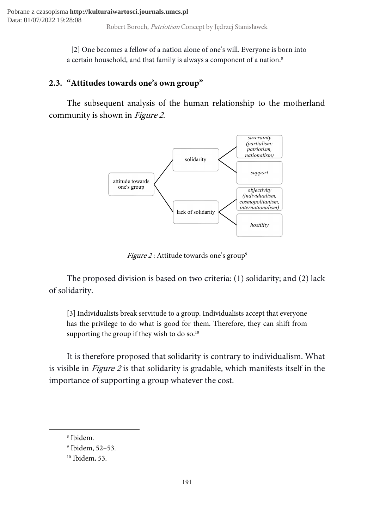[2] One becomes a fellow of a nation alone of one's will. Everyone is born into a certain household, and that family is always a component of a nation.<sup>8</sup>

## 2.3. "Attitudes towards one's own group"

The subsequent analysis of the human relationship to the motherland community is shown in Figure 2.



Figure 2: Attitude towards one's group<sup>9</sup>

The proposed division is based on two criteria: (1) solidarity; and (2) lack of solidarity.

[3] Individualists break servitude to a group. Individualists accept that everyone has the privilege to do what is good for them. Therefore, they can shift from supporting the group if they wish to do so.<sup>10</sup>

It is therefore proposed that solidarity is contrary to individualism. What is visible in Figure 2 is that solidarity is gradable, which manifests itself in the importance of supporting a group whatever the cost.

<sup>8</sup> Ibidem.

<sup>9</sup> Ibidem, 52–53.

<sup>10</sup> Ibidem, 53.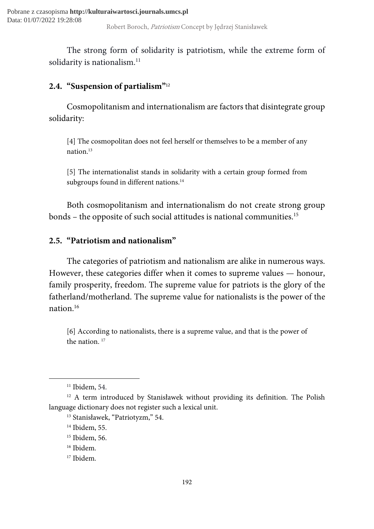The strong form of solidarity is patriotism, while the extreme form of solidarity is nationalism.<sup>11</sup>

## 2.4. "Suspension of partialism"<sup>12</sup>

Cosmopolitanism and internationalism are factors that disintegrate group solidarity:

[4] The cosmopolitan does not feel herself or themselves to be a member of any nation.<sup>13</sup>

[5] The internationalist stands in solidarity with a certain group formed from subgroups found in different nations.<sup>14</sup>

Both cosmopolitanism and internationalism do not create strong group bonds – the opposite of such social attitudes is national communities.<sup>15</sup>

## 2.5. "Patriotism and nationalism"

The categories of patriotism and nationalism are alike in numerous ways. However, these categories differ when it comes to supreme values — honour, family prosperity, freedom. The supreme value for patriots is the glory of the fatherland/motherland. The supreme value for nationalists is the power of the nation.<sup>16</sup>

[6] According to nationalists, there is a supreme value, and that is the power of the nation.<sup>17</sup>

 $11$  Ibidem, 54.

<sup>&</sup>lt;sup>12</sup> A term introduced by Stanisławek without providing its definition. The Polish language dictionary does not register such a lexical unit.

<sup>13</sup> Stanisławek, "Patriotyzm," 54.

<sup>&</sup>lt;sup>14</sup> Ibidem, 55.

<sup>&</sup>lt;sup>15</sup> Ibidem, 56.

<sup>16</sup> Ibidem.

<sup>17</sup> Ibidem.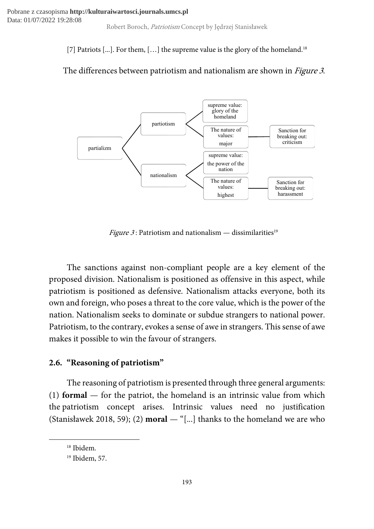[7] Patriots [...]. For them, [...] the supreme value is the glory of the homeland.<sup>18</sup>

# The differences between patriotism and nationalism are shown in *Figure 3*.



*Figure 3*: Patriotism and nationalism — dissimilarities<sup>19</sup>

The sanctions against non-compliant people are a key element of the proposed division. Nationalism is positioned as offensive in this aspect, while patriotism is positioned as defensive. Nationalism attacks everyone, both its own and foreign, who poses a threat to the core value, which is the power of the nation. Nationalism seeks to dominate or subdue strangers to national power. Patriotism, to the contrary, evokes a sense of awe in strangers. This sense of awe makes it possible to win the favour of strangers.

# 2.6. "Reasoning of patriotism"

The reasoning of patriotism is presented through three general arguments: (1) **formal** — for the patriot, the homeland is an intrinsic value from which the patriotism concept arises. Intrinsic values need no justification (Stanisławek 2018, 59); (2) **moral**  $-$  "[...] thanks to the homeland we are who

<sup>18</sup> Ibidem.

<sup>19</sup> Ibidem, 57.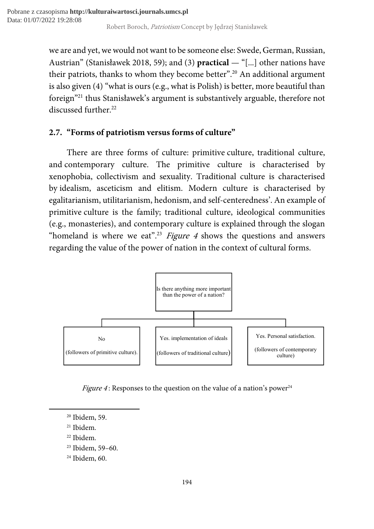we are and yet, we would not want to be someone else: Swede, German, Russian, Austrian" (Stanisławek 2018, 59); and (3) practical — "[...] other nations have their patriots, thanks to whom they become better".<sup>20</sup> An additional argument is also given (4) "what is ours (e.g., what is Polish) is better, more beautiful than foreign"<sup>21</sup> thus Stanisławek's argument is substantively arguable, therefore not discussed further.<sup>22</sup>

## 2.7. "Forms of patriotism versus forms of culture"

There are three forms of culture: primitive culture, traditional culture, and contemporary culture. The primitive culture is characterised by xenophobia, collectivism and sexuality. Traditional culture is characterised by idealism, asceticism and elitism. Modern culture is characterised by egalitarianism, utilitarianism, hedonism, and self-centeredness'. An example of primitive culture is the family; traditional culture, ideological communities (e.g., monasteries), and contemporary culture is explained through the slogan "homeland is where we eat".<sup>23</sup> Figure 4 shows the questions and answers regarding the value of the power of nation in the context of cultural forms.



*Figure 4*: Responses to the question on the value of a nation's power<sup>24</sup>

<sup>20</sup> Ibidem, 59.

<sup>21</sup> Ibidem.

<sup>22</sup> Ibidem.

<sup>23</sup> Ibidem, 59–60.

<sup>24</sup> Ibidem, 60.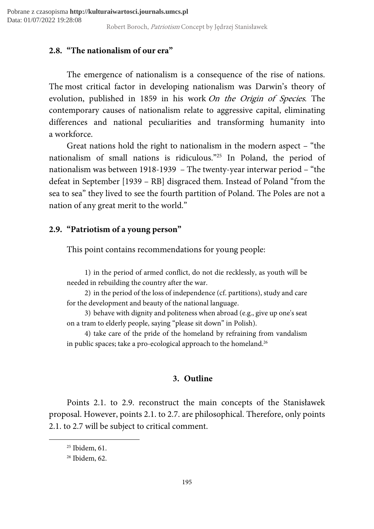## 2.8. "The nationalism of our era"

The emergence of nationalism is a consequence of the rise of nations. The most critical factor in developing nationalism was Darwin's theory of evolution, published in 1859 in his work On the Origin of Species. The contemporary causes of nationalism relate to aggressive capital, eliminating differences and national peculiarities and transforming humanity into a workforce.

Great nations hold the right to nationalism in the modern aspect – "the nationalism of small nations is ridiculous."<sup>25</sup> In Poland, the period of nationalism was between 1918-1939 – The twenty-year interwar period – "the defeat in September [1939 – RB] disgraced them. Instead of Poland "from the sea to sea" they lived to see the fourth partition of Poland. The Poles are not a nation of any great merit to the world."

## 2.9. "Patriotism of a young person"

This point contains recommendations for young people:

1) in the period of armed conflict, do not die recklessly, as youth will be needed in rebuilding the country after the war.

2) in the period of the loss of independence (cf. partitions), study and care for the development and beauty of the national language.

3) behave with dignity and politeness when abroad (e.g., give up one's seat on a tram to elderly people, saying "please sit down" in Polish).

4) take care of the pride of the homeland by refraining from vandalism in public spaces; take a pro-ecological approach to the homeland.<sup>26</sup>

## 3. Outline

Points 2.1. to 2.9. reconstruct the main concepts of the Stanisławek proposal. However, points 2.1. to 2.7. are philosophical. Therefore, only points 2.1. to 2.7 will be subject to critical comment.

<sup>&</sup>lt;sup>25</sup> Ibidem, 61.

<sup>26</sup> Ibidem, 62.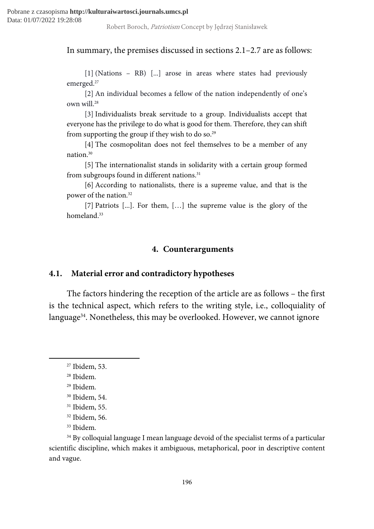In summary, the premises discussed in sections 2.1–2.7 are as follows:

[1] (Nations – RB) [...] arose in areas where states had previously emerged.<sup>27</sup>

[2] An individual becomes a fellow of the nation independently of one's own will.<sup>28</sup>

[3] Individualists break servitude to a group. Individualists accept that everyone has the privilege to do what is good for them. Therefore, they can shift from supporting the group if they wish to do so.<sup>29</sup>

[4] The cosmopolitan does not feel themselves to be a member of any nation.<sup>30</sup>

[5] The internationalist stands in solidarity with a certain group formed from subgroups found in different nations.<sup>31</sup>

[6] According to nationalists, there is a supreme value, and that is the power of the nation.<sup>32</sup>

[7] Patriots [...]. For them, […] the supreme value is the glory of the homeland.<sup>33</sup>

### 4. Counterarguments

### 4.1. Material error and contradictory hypotheses

The factors hindering the reception of the article are as follows – the first is the technical aspect, which refers to the writing style, i.e., colloquiality of language<sup>34</sup>. Nonetheless, this may be overlooked. However, we cannot ignore

<sup>27</sup> Ibidem, 53.

<sup>28</sup> Ibidem.

<sup>29</sup> Ibidem.

<sup>30</sup> Ibidem, 54.

<sup>31</sup> Ibidem, 55.

<sup>32</sup> Ibidem, 56.

<sup>33</sup> Ibidem.

<sup>&</sup>lt;sup>34</sup> By colloquial language I mean language devoid of the specialist terms of a particular scientific discipline, which makes it ambiguous, metaphorical, poor in descriptive content and vague.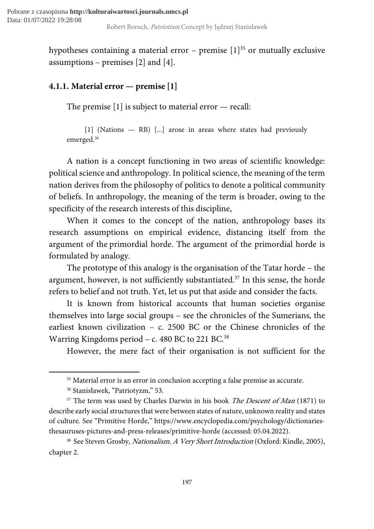hypotheses containing a material error – premise  $[1]^{35}$  or mutually exclusive assumptions – premises  $[2]$  and  $[4]$ .

# 4.1.1. Material error — premise [1]

The premise [1] is subject to material error — recall:

[1] (Nations — RB) [...] arose in areas where states had previously emerged.<sup>36</sup>

A nation is a concept functioning in two areas of scientific knowledge: political science and anthropology. In political science, the meaning of the term nation derives from the philosophy of politics to denote a political community of beliefs. In anthropology, the meaning of the term is broader, owing to the specificity of the research interests of this discipline,

When it comes to the concept of the nation, anthropology bases its research assumptions on empirical evidence, distancing itself from the argument of the primordial horde. The argument of the primordial horde is formulated by analogy.

The prototype of this analogy is the organisation of the Tatar horde – the argument, however, is not sufficiently substantiated.<sup>37</sup> In this sense, the horde refers to belief and not truth. Yet, let us put that aside and consider the facts.

It is known from historical accounts that human societies organise themselves into large social groups – see the chronicles of the Sumerians, the earliest known civilization – c. 2500 BC or the Chinese chronicles of the Warring Kingdoms period – c. 480 BC to 221 BC.<sup>38</sup>

However, the mere fact of their organisation is not sufficient for the

<sup>&</sup>lt;sup>35</sup> Material error is an error in conclusion accepting a false premise as accurate.

<sup>36</sup> Stanisławek, "Patriotyzm," 53.

 $37$  The term was used by Charles Darwin in his book *The Descent of Man* (1871) to describe early social structures that were between states of nature, unknown reality and states of culture. See "Primitive Horde," https://www.encyclopedia.com/psychology/dictionariesthesauruses-pictures-and-press-releases/primitive-horde (accessed: 05.04.2022).

<sup>&</sup>lt;sup>38</sup> See Steven Grosby, *Nationalism. A Very Short Introduction* (Oxford: Kindle, 2005), chapter 2.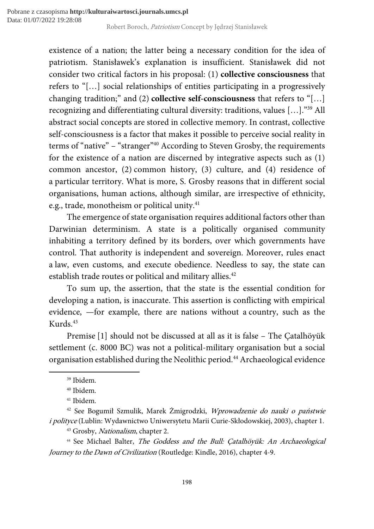existence of a nation; the latter being a necessary condition for the idea of patriotism. Stanisławek's explanation is insufficient. Stanisławek did not consider two critical factors in his proposal: (1) collective consciousness that refers to "[…] social relationships of entities participating in a progressively changing tradition;" and (2) collective self-consciousness that refers to "[…] recognizing and differentiating cultural diversity: traditions, values […]."<sup>39</sup> All abstract social concepts are stored in collective memory. In contrast, collective self-consciousness is a factor that makes it possible to perceive social reality in terms of "native" – "stranger"<sup>40</sup> According to Steven Grosby, the requirements for the existence of a nation are discerned by integrative aspects such as (1) common ancestor, (2) common history, (3) culture, and (4) residence of a particular territory. What is more, S. Grosby reasons that in different social organisations, human actions, although similar, are irrespective of ethnicity, e.g., trade, monotheism or political unity.<sup>41</sup>

The emergence of state organisation requires additional factors other than Darwinian determinism. A state is a politically organised community inhabiting a territory defined by its borders, over which governments have control. That authority is independent and sovereign. Moreover, rules enact a law, even customs, and execute obedience. Needless to say, the state can establish trade routes or political and military allies.<sup>42</sup>

To sum up, the assertion, that the state is the essential condition for developing a nation, is inaccurate. This assertion is conflicting with empirical evidence, —for example, there are nations without a country, such as the Kurds.<sup>43</sup>

Premise [1] should not be discussed at all as it is false – The Çatalhöyük settlement (c. 8000 BC) was not a political-military organisation but a social organisation established during the Neolithic period.<sup>44</sup> Archaeological evidence

<sup>39</sup> Ibidem.

<sup>40</sup> Ibidem.

<sup>41</sup> Ibidem.

<sup>42</sup> See Bogumił Szmulik, Marek Żmigrodzki, Wprowadzenie do nauki o państwie i polityce (Lublin: Wydawnictwo Uniwersytetu Marii Curie-Skłodowskiej, 2003), chapter 1.

<sup>43</sup> Grosby, Nationalism, chapter 2.

<sup>&</sup>lt;sup>44</sup> See Michael Balter, The Goddess and the Bull: Catalhöyük: An Archaeological Journey to the Dawn of Civilization (Routledge: Kindle, 2016), chapter 4-9.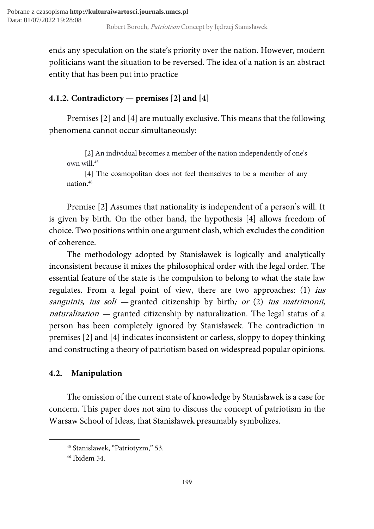ends any speculation on the state's priority over the nation. However, modern politicians want the situation to be reversed. The idea of a nation is an abstract entity that has been put into practice

# 4.1.2. Contradictory — premises [2] and [4]

Premises [2] and [4] are mutually exclusive. This means that the following phenomena cannot occur simultaneously:

[2] An individual becomes a member of the nation independently of one's own will.<sup>45</sup>

[4] The cosmopolitan does not feel themselves to be a member of any nation.<sup>46</sup>

Premise [2] Assumes that nationality is independent of a person's will. It is given by birth. On the other hand, the hypothesis [4] allows freedom of choice. Two positions within one argument clash, which excludes the condition of coherence.

The methodology adopted by Stanisławek is logically and analytically inconsistent because it mixes the philosophical order with the legal order. The essential feature of the state is the compulsion to belong to what the state law regulates. From a legal point of view, there are two approaches: (1) *ius* sanguinis, ius soli — granted citizenship by birth; or  $(2)$  ius matrimonii, naturalization  $-$  granted citizenship by naturalization. The legal status of a person has been completely ignored by Stanisławek. The contradiction in premises [2] and [4] indicates inconsistent or carless, sloppy to dopey thinking and constructing a theory of patriotism based on widespread popular opinions.

## 4.2. Manipulation

The omission of the current state of knowledge by Stanisławek is a case for concern. This paper does not aim to discuss the concept of patriotism in the Warsaw School of Ideas, that Stanisławek presumably symbolizes.

<sup>45</sup> Stanisławek, "Patriotyzm," 53.

<sup>46</sup> Ibidem 54.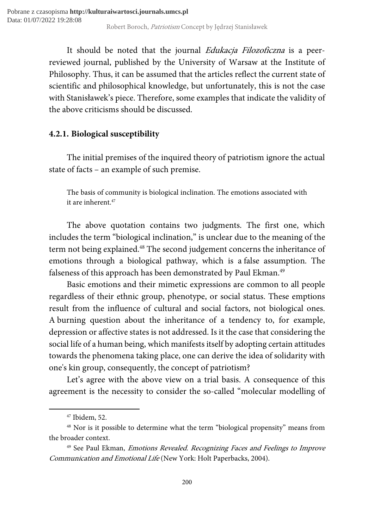It should be noted that the journal *Edukacja Filozoficzna* is a peerreviewed journal, published by the University of Warsaw at the Institute of Philosophy. Thus, it can be assumed that the articles reflect the current state of scientific and philosophical knowledge, but unfortunately, this is not the case with Stanisławek's piece. Therefore, some examples that indicate the validity of the above criticisms should be discussed.

## 4.2.1. Biological susceptibility

The initial premises of the inquired theory of patriotism ignore the actual state of facts – an example of such premise.

The basis of community is biological inclination. The emotions associated with it are inherent.<sup>47</sup>

The above quotation contains two judgments. The first one, which includes the term "biological inclination," is unclear due to the meaning of the term not being explained.<sup>48</sup> The second judgement concerns the inheritance of emotions through a biological pathway, which is a false assumption. The falseness of this approach has been demonstrated by Paul Ekman.<sup>49</sup>

Basic emotions and their mimetic expressions are common to all people regardless of their ethnic group, phenotype, or social status. These emptions result from the influence of cultural and social factors, not biological ones. A burning question about the inheritance of a tendency to, for example, depression or affective states is not addressed. Is it the case that considering the social life of a human being, which manifests itself by adopting certain attitudes towards the phenomena taking place, one can derive the idea of solidarity with one's kin group, consequently, the concept of patriotism?

Let's agree with the above view on a trial basis. A consequence of this agreement is the necessity to consider the so-called "molecular modelling of

<sup>47</sup> Ibidem, 52.

<sup>48</sup> Nor is it possible to determine what the term "biological propensity" means from the broader context.

<sup>&</sup>lt;sup>49</sup> See Paul Ekman, *Emotions Revealed. Recognizing Faces and Feelings to Improve* Communication and Emotional Life (New York: Holt Paperbacks, 2004).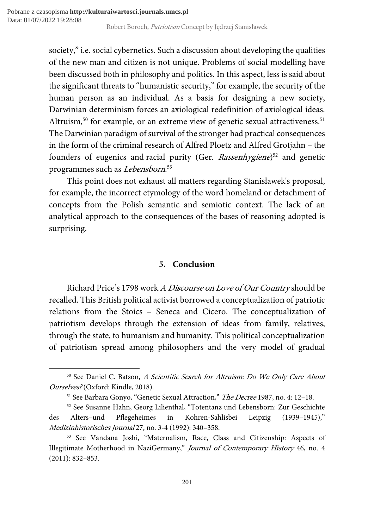society," i.e. social cybernetics. Such a discussion about developing the qualities of the new man and citizen is not unique. Problems of social modelling have been discussed both in philosophy and politics. In this aspect, less is said about the significant threats to "humanistic security," for example, the security of the human person as an individual. As a basis for designing a new society, Darwinian determinism forces an axiological redefinition of axiological ideas. Altruism,<sup>50</sup> for example, or an extreme view of genetic sexual attractiveness.<sup>51</sup> The Darwinian paradigm of survival of the stronger had practical consequences in the form of the criminal research of Alfred Ploetz and Alfred Grotjahn – the founders of eugenics and racial purity (Ger. Rassenhygiene)<sup>52</sup> and genetic programmes such as Lebensborn.<sup>53</sup>

This point does not exhaust all matters regarding Stanisławek's proposal, for example, the incorrect etymology of the word homeland or detachment of concepts from the Polish semantic and semiotic context. The lack of an analytical approach to the consequences of the bases of reasoning adopted is surprising.

## 5. Conclusion

Richard Price's 1798 work A Discourse on Love of Our Country should be recalled. This British political activist borrowed a conceptualization of patriotic relations from the Stoics – Seneca and Cicero. The conceptualization of patriotism develops through the extension of ideas from family, relatives, through the state, to humanism and humanity. This political conceptualization of patriotism spread among philosophers and the very model of gradual

<sup>&</sup>lt;sup>50</sup> See Daniel C. Batson, A Scientific Search for Altruism: Do We Only Care About Ourselves? (Oxford: Kindle, 2018).

<sup>&</sup>lt;sup>51</sup> See Barbara Gonyo, "Genetic Sexual Attraction," The Decree 1987, no. 4: 12-18.

<sup>52</sup> See Susanne Hahn, Georg Lilienthal, "Totentanz und Lebensborn: Zur Geschichte des Alters–und Pflegeheimes in Kohren-Sahlisbei Leipzig (1939–1945)," Medizinhistorisches Journal 27, no. 3-4 (1992): 340–358.

<sup>53</sup> See Vandana Joshi, "Maternalism, Race, Class and Citizenship: Aspects of Illegitimate Motherhood in NaziGermany," Journal of Contemporary History 46, no. 4 (2011): 832–853.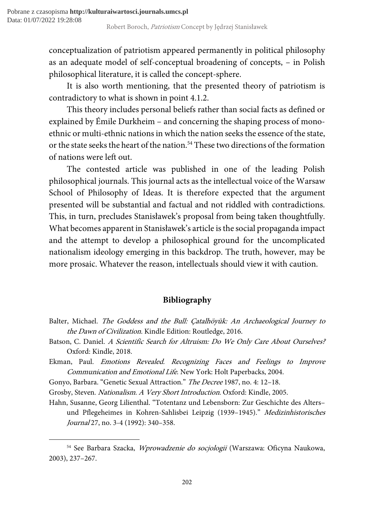conceptualization of patriotism appeared permanently in political philosophy as an adequate model of self-conceptual broadening of concepts, – in Polish philosophical literature, it is called the concept-sphere.

It is also worth mentioning, that the presented theory of patriotism is contradictory to what is shown in point 4.1.2.

This theory includes personal beliefs rather than social facts as defined or explained by Émile Durkheim – and concerning the shaping process of monoethnic or multi-ethnic nations in which the nation seeks the essence of the state, or the state seeks the heart of the nation.<sup>54</sup> These two directions of the formation of nations were left out.

The contested article was published in one of the leading Polish philosophical journals. This journal acts as the intellectual voice of the Warsaw School of Philosophy of Ideas. It is therefore expected that the argument presented will be substantial and factual and not riddled with contradictions. This, in turn, precludes Stanisławek's proposal from being taken thoughtfully. What becomes apparent in Stanisławek's article is the social propaganda impact and the attempt to develop a philosophical ground for the uncomplicated nationalism ideology emerging in this backdrop. The truth, however, may be more prosaic. Whatever the reason, intellectuals should view it with caution.

## Bibliography

- Balter, Michael. The Goddess and the Bull: Çatalhöyük: An Archaeological Journey to the Dawn of Civilization. Kindle Edition: Routledge, 2016.
- Batson, C. Daniel. A Scientific Search for Altruism: Do We Only Care About Ourselves? Oxford: Kindle, 2018.
- Ekman, Paul. Emotions Revealed. Recognizing Faces and Feelings to Improve Communication and Emotional Life. New York: Holt Paperbacks, 2004.

-

Hahn, Susanne, Georg Lilienthal. "Totentanz und Lebensborn: Zur Geschichte des Alters– und Pflegeheimes in Kohren-Sahlisbei Leipzig (1939-1945)." Medizinhistorisches Journal 27, no. 3-4 (1992): 340–358.

Gonyo, Barbara. "Genetic Sexual Attraction." The Decree 1987, no. 4: 12–18.

Grosby, Steven. Nationalism. A Very Short Introduction. Oxford: Kindle, 2005.

<sup>&</sup>lt;sup>54</sup> See Barbara Szacka, Wprowadzenie do socjologii (Warszawa: Oficyna Naukowa, 2003), 237–267.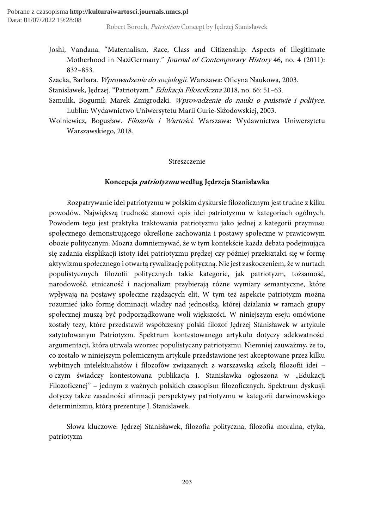- Joshi, Vandana. "Maternalism, Race, Class and Citizenship: Aspects of Illegitimate Motherhood in NaziGermany." Journal of Contemporary History 46, no. 4 (2011): 832–853.
- Szacka, Barbara. Wprowadzenie do socjologii. Warszawa: Oficyna Naukowa, 2003.
- Stanisławek, Jędrzej. "Patriotyzm." Edukacja Filozoficzna 2018, no. 66: 51–63.
- Szmulik, Bogumił, Marek Żmigrodzki. Wprowadzenie do nauki o państwie i polityce. Lublin: Wydawnictwo Uniwersytetu Marii Curie-Skłodowskiej, 2003.
- Wolniewicz, Bogusław. Filozofia i Wartości. Warszawa: Wydawnictwa Uniwersytetu Warszawskiego, 2018.

#### Streszczenie

#### Koncepcja patriotyzmu według Jędrzeja Stanisławka

Rozpatrywanie idei patriotyzmu w polskim dyskursie filozoficznym jest trudne z kilku powodów. Największą trudność stanowi opis idei patriotyzmu w kategoriach ogólnych. Powodem tego jest praktyka traktowania patriotyzmu jako jednej z kategorii przymusu społecznego demonstrującego określone zachowania i postawy społeczne w prawicowym obozie politycznym. Można domniemywać, że w tym kontekście każda debata podejmująca się zadania eksplikacji istoty idei patriotyzmu prędzej czy później przekształci się w formę aktywizmu społecznego i otwartą rywalizację polityczną. Nie jest zaskoczeniem, że w nurtach populistycznych filozofii politycznych takie kategorie, jak patriotyzm, tożsamość, narodowość, etniczność i nacjonalizm przybierają różne wymiary semantyczne, które wpływają na postawy społeczne rządzących elit. W tym też aspekcie patriotyzm można rozumieć jako formę dominacji władzy nad jednostką, której działania w ramach grupy społecznej muszą być podporządkowane woli większości. W niniejszym eseju omówione zostały tezy, które przedstawił współczesny polski filozof Jędrzej Stanisławek w artykule zatytułowanym Patriotyzm. Spektrum kontestowanego artykułu dotyczy adekwatności argumentacji, która utrwala wzorzec populistyczny patriotyzmu. Niemniej zauważmy, że to, co zostało w niniejszym polemicznym artykule przedstawione jest akceptowane przez kilku wybitnych intelektualistów i filozofów związanych z warszawską szkołą filozofii idei – o czym świadczy kontestowana publikacja J. Stanisławka ogłoszona w "Edukacji Filozoficznej" – jednym z ważnych polskich czasopism filozoficznych. Spektrum dyskusji dotyczy także zasadności afirmacji perspektywy patriotyzmu w kategorii darwinowskiego determinizmu, którą prezentuje J. Stanisławek.

Słowa kluczowe: Jędrzej Stanisławek, filozofia polityczna, filozofia moralna, etyka, patriotyzm